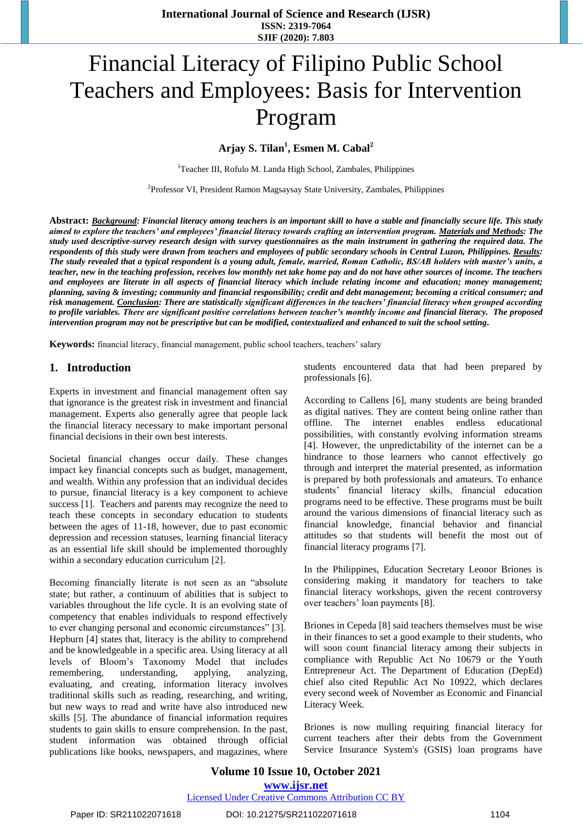# Financial Literacy of Filipino Public School Teachers and Employees: Basis for Intervention Program

**Arjay S. Tilan<sup>1</sup> , Esmen M. Cabal<sup>2</sup>**

<sup>1</sup>Teacher III, Rofulo M. Landa High School, Zambales, Philippines

<sup>2</sup>Professor VI, President Ramon Magsaysay State University, Zambales, Philippines

**Abstract:** *Background: Financial literacy among teachers is an important skill to have a stable and financially secure life. This study aimed to explore the teachers' and employees' financial literacy towards crafting an intervention program. Materials and Methods: The study used descriptive-survey research design with survey questionnaires as the main instrument in gathering the required data. The respondents of this study were drawn from teachers and employees of public secondary schools in Central Luzon, Philippines. Results: The study revealed that a typical respondent is a young adult, female, married, Roman Catholic, BS/AB holders with master's units, a teacher, new in the teaching profession, receives low monthly net take home pay and do not have other sources of income. The teachers and employees are literate in all aspects of financial literacy which include relating income and education; money management; planning, saving & investing; community and financial responsibility; credit and debt management; becoming a critical consumer; and risk management. Conclusion: There are statistically significant differences in the teachers' financial literacy when grouped according to profile variables. There are significant positive correlations between teacher's monthly income and financial literacy. The proposed intervention program may not be prescriptive but can be modified, contextualized and enhanced to suit the school setting.*

**Keywords:** financial literacy, financial management, public school teachers, teachers' salary

### **1. Introduction**

Experts in investment and financial management often say that ignorance is the greatest risk in investment and financial management. Experts also generally agree that people lack the financial literacy necessary to make important personal financial decisions in their own best interests.

Societal financial changes occur daily. These changes impact key financial concepts such as budget, management, and wealth. Within any profession that an individual decides to pursue, financial literacy is a key component to achieve success [1]. Teachers and parents may recognize the need to teach these concepts in secondary education to students between the ages of 11-18, however, due to past economic depression and recession statuses, learning financial literacy as an essential life skill should be implemented thoroughly within a secondary education curriculum [2].

Becoming financially literate is not seen as an "absolute state; but rather, a continuum of abilities that is subject to variables throughout the life cycle. It is an evolving state of competency that enables individuals to respond effectively to ever changing personal and economic circumstances" [3]. Hepburn [4] states that, literacy is the ability to comprehend and be knowledgeable in a specific area. Using literacy at all levels of Bloom's Taxonomy Model that includes remembering, understanding, applying, analyzing, evaluating, and creating, information literacy involves traditional skills such as reading, researching, and writing, but new ways to read and write have also introduced new skills [5]. The abundance of financial information requires students to gain skills to ensure comprehension. In the past, student information was obtained through official publications like books, newspapers, and magazines, where

students encountered data that had been prepared by professionals [6].

According to Callens [6], many students are being branded as digital natives. They are content being online rather than offline. The internet enables endless educational possibilities, with constantly evolving information streams [4]. However, the unpredictability of the internet can be a hindrance to those learners who cannot effectively go through and interpret the material presented, as information is prepared by both professionals and amateurs. To enhance students' financial literacy skills, financial education programs need to be effective. These programs must be built around the various dimensions of financial literacy such as financial knowledge, financial behavior and financial attitudes so that students will benefit the most out of financial literacy programs [7].

In the Philippines, Education Secretary Leonor Briones is considering making it mandatory for teachers to take financial literacy workshops, given the recent controversy over teachers' loan payments [8].

Briones in Cepeda [8] said teachers themselves must be wise in their finances to set a good example to their students, who will soon count financial literacy among their subjects in compliance with Republic Act No 10679 or the Youth Entrepreneur Act. The Department of Education (DepEd) chief also cited Republic Act No 10922, which declares every second week of November as Economic and Financial Literacy Week.

Briones is now mulling requiring financial literacy for current teachers after their debts from the Government Service Insurance System's (GSIS) loan programs have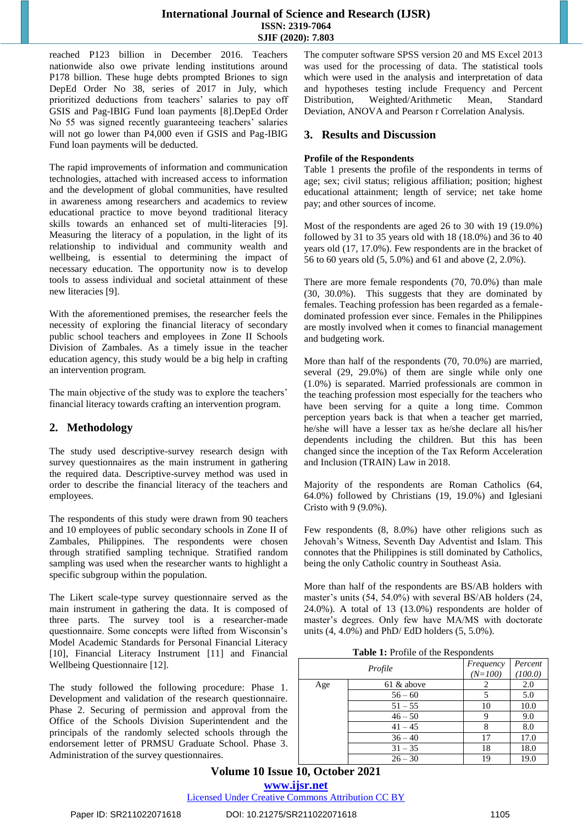reached P123 billion in December 2016. Teachers nationwide also owe private lending institutions around P178 billion. These huge debts prompted Briones to sign DepEd Order No 38, series of 2017 in July, which prioritized deductions from teachers' salaries to pay off GSIS and Pag-IBIG Fund loan payments [8].DepEd Order No 55 was signed recently guaranteeing teachers' salaries will not go lower than P4,000 even if GSIS and Pag-IBIG Fund loan payments will be deducted.

The rapid improvements of information and communication technologies, attached with increased access to information and the development of global communities, have resulted in awareness among researchers and academics to review educational practice to move beyond traditional literacy skills towards an enhanced set of multi-literacies [9]. Measuring the literacy of a population, in the light of its relationship to individual and community wealth and wellbeing, is essential to determining the impact of necessary education. The opportunity now is to develop tools to assess individual and societal attainment of these new literacies [9].

With the aforementioned premises, the researcher feels the necessity of exploring the financial literacy of secondary public school teachers and employees in Zone II Schools Division of Zambales. As a timely issue in the teacher education agency, this study would be a big help in crafting an intervention program.

The main objective of the study was to explore the teachers' financial literacy towards crafting an intervention program.

# **2. Methodology**

The study used descriptive-survey research design with survey questionnaires as the main instrument in gathering the required data. Descriptive-survey method was used in order to describe the financial literacy of the teachers and employees.

The respondents of this study were drawn from 90 teachers and 10 employees of public secondary schools in Zone II of Zambales, Philippines. The respondents were chosen through stratified sampling technique. Stratified random sampling was used when the researcher wants to highlight a specific subgroup within the population.

The Likert scale-type survey questionnaire served as the main instrument in gathering the data. It is composed of three parts. The survey tool is a researcher-made questionnaire. Some concepts were lifted from Wisconsin's Model Academic Standards for Personal Financial Literacy [10], Financial Literacy Instrument [11] and Financial Wellbeing Questionnaire [12].

The study followed the following procedure: Phase 1. Development and validation of the research questionnaire. Phase 2. Securing of permission and approval from the Office of the Schools Division Superintendent and the principals of the randomly selected schools through the endorsement letter of PRMSU Graduate School. Phase 3. Administration of the survey questionnaires.

The computer software SPSS version 20 and MS Excel 2013 was used for the processing of data. The statistical tools which were used in the analysis and interpretation of data and hypotheses testing include Frequency and Percent Distribution, Weighted/Arithmetic Mean, Standard Deviation, ANOVA and Pearson r Correlation Analysis.

### **3. Results and Discussion**

### **Profile of the Respondents**

Table 1 presents the profile of the respondents in terms of age; sex; civil status; religious affiliation; position; highest educational attainment; length of service; net take home pay; and other sources of income.

Most of the respondents are aged 26 to 30 with 19 (19.0%) followed by 31 to 35 years old with 18 (18.0%) and 36 to 40 years old (17, 17.0%). Few respondents are in the bracket of 56 to 60 years old (5, 5.0%) and 61 and above (2, 2.0%).

There are more female respondents (70, 70.0%) than male (30, 30.0%). This suggests that they are dominated by females. Teaching profession has been regarded as a femaledominated profession ever since. Females in the Philippines are mostly involved when it comes to financial management and budgeting work.

More than half of the respondents (70, 70.0%) are married, several (29, 29.0%) of them are single while only one (1.0%) is separated. Married professionals are common in the teaching profession most especially for the teachers who have been serving for a quite a long time. Common perception years back is that when a teacher get married, he/she will have a lesser tax as he/she declare all his/her dependents including the children. But this has been changed since the inception of the Tax Reform Acceleration and Inclusion (TRAIN) Law in 2018.

Majority of the respondents are Roman Catholics (64, 64.0%) followed by Christians (19, 19.0%) and Iglesiani Cristo with 9 (9.0%).

Few respondents (8, 8.0%) have other religions such as Jehovah's Witness, Seventh Day Adventist and Islam. This connotes that the Philippines is still dominated by Catholics, being the only Catholic country in Southeast Asia.

More than half of the respondents are BS/AB holders with master's units (54, 54.0%) with several BS/AB holders (24, 24.0%). A total of 13 (13.0%) respondents are holder of master's degrees. Only few have MA/MS with doctorate units (4, 4.0%) and PhD/ EdD holders (5, 5.0%).

**Table 1:** Profile of the Respondents

| Profile |            | Frequency<br>$(N=100)$ | Percent<br>(100.0) |
|---------|------------|------------------------|--------------------|
| Age     | 61 & above |                        | 2.0                |
|         | $56 - 60$  |                        | 5.0                |
|         | $51 - 55$  | 10                     | 10.0               |
|         | $46 - 50$  | 9                      | 9.0                |
|         | $41 - 45$  |                        | 8.0                |
|         | $36 - 40$  | 17                     | 17.0               |
|         | $31 - 35$  | 18                     | 18.0               |
|         | $26 - 30$  | 19                     | 19.0               |

# **Volume 10 Issue 10, October 2021 <www.ijsr.net>**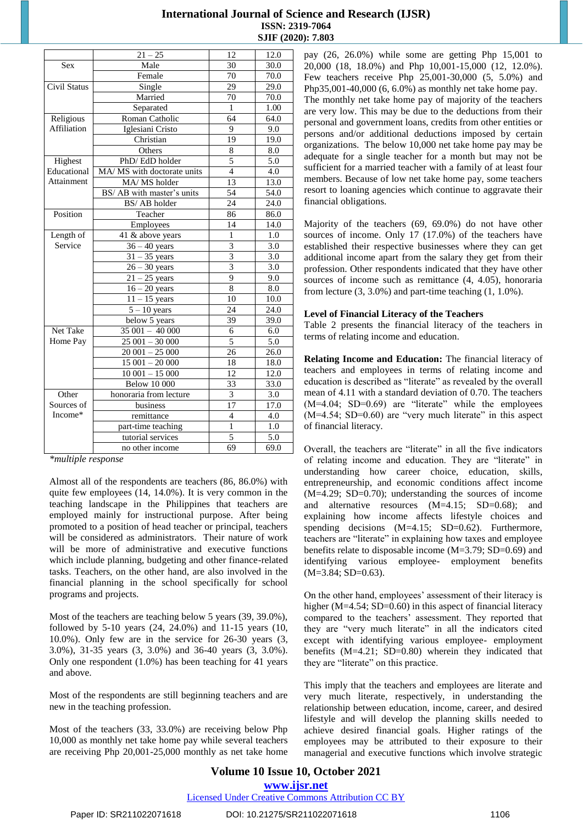| 30<br>30.0<br><b>Sex</b><br>Male<br>$\overline{70.0}$<br>Female<br>70<br>Civil Status<br>$\overline{29.0}$<br>29<br>Single<br>70.0<br>Married<br>70<br>Separated<br>$\mathbf{1}$<br>1.00<br>Religious<br>Roman Catholic<br>64<br>64.0<br>Affiliation<br>Iglesiani Cristo<br>9<br>9.0<br>Christian<br>19<br>19.0<br>Others<br>8.0<br>8<br>5<br>Highest<br>PhD/EdD holder<br>5.0<br>Educational<br>$\overline{4}$<br>MA/ MS with doctorate units<br>4.0<br>Attainment<br>13<br>MA/MS holder<br>13.0<br>54<br>BS/ AB with master's units<br>54.0<br>BS/AB holder<br>24<br>24.0<br>Position<br>Teacher<br>86<br>86.0<br>14<br>14.0<br>Employees<br>Length of<br>$\overline{41}$ & above years<br>1<br>$1.0\,$<br>Service<br>3<br>$36 - 40$ years<br>3.0<br>3<br>3.0<br>$31 - 35$ years<br>$\overline{3}$<br>$26 - 30$ years<br>3.0<br>$\overline{9}$<br>$21 - 25$ years<br>9.0<br>8<br>$\overline{16-20}$ years<br>8.0<br>$11 - 15$ years<br>10<br>10.0<br>$5 - 10$ years<br>24<br>24.0<br>$\overline{\text{below 5 years}}$<br>39<br>39.0<br>$35001 - 40000$<br>Net Take<br>6<br>6.0<br>$25001 - 30000$<br>Home Pay<br>5<br>5.0<br>$20001 - 25000$<br>26.0<br>26<br>$15001 - 20000$<br>18.0<br>18<br>$10001 - 15000$<br>12.0<br>12<br><b>Below 10 000</b><br>33<br>33.0<br>Other<br>honoraria from lecture<br>3.0<br>3<br>Sources of<br>17<br>business<br>17.0<br>Income*<br>4.0<br>remittance<br>4<br>$\mathbf{1}$<br>1.0<br>part-time teaching<br>5<br>tutorial services<br>5.0<br>69<br>no other income<br>69.0 | $21 - 25$ | 12 | 12.0 |
|-----------------------------------------------------------------------------------------------------------------------------------------------------------------------------------------------------------------------------------------------------------------------------------------------------------------------------------------------------------------------------------------------------------------------------------------------------------------------------------------------------------------------------------------------------------------------------------------------------------------------------------------------------------------------------------------------------------------------------------------------------------------------------------------------------------------------------------------------------------------------------------------------------------------------------------------------------------------------------------------------------------------------------------------------------------------------------------------------------------------------------------------------------------------------------------------------------------------------------------------------------------------------------------------------------------------------------------------------------------------------------------------------------------------------------------------------------------------------------------------------------------------|-----------|----|------|
|                                                                                                                                                                                                                                                                                                                                                                                                                                                                                                                                                                                                                                                                                                                                                                                                                                                                                                                                                                                                                                                                                                                                                                                                                                                                                                                                                                                                                                                                                                                 |           |    |      |
|                                                                                                                                                                                                                                                                                                                                                                                                                                                                                                                                                                                                                                                                                                                                                                                                                                                                                                                                                                                                                                                                                                                                                                                                                                                                                                                                                                                                                                                                                                                 |           |    |      |
|                                                                                                                                                                                                                                                                                                                                                                                                                                                                                                                                                                                                                                                                                                                                                                                                                                                                                                                                                                                                                                                                                                                                                                                                                                                                                                                                                                                                                                                                                                                 |           |    |      |
|                                                                                                                                                                                                                                                                                                                                                                                                                                                                                                                                                                                                                                                                                                                                                                                                                                                                                                                                                                                                                                                                                                                                                                                                                                                                                                                                                                                                                                                                                                                 |           |    |      |
|                                                                                                                                                                                                                                                                                                                                                                                                                                                                                                                                                                                                                                                                                                                                                                                                                                                                                                                                                                                                                                                                                                                                                                                                                                                                                                                                                                                                                                                                                                                 |           |    |      |
|                                                                                                                                                                                                                                                                                                                                                                                                                                                                                                                                                                                                                                                                                                                                                                                                                                                                                                                                                                                                                                                                                                                                                                                                                                                                                                                                                                                                                                                                                                                 |           |    |      |
|                                                                                                                                                                                                                                                                                                                                                                                                                                                                                                                                                                                                                                                                                                                                                                                                                                                                                                                                                                                                                                                                                                                                                                                                                                                                                                                                                                                                                                                                                                                 |           |    |      |
|                                                                                                                                                                                                                                                                                                                                                                                                                                                                                                                                                                                                                                                                                                                                                                                                                                                                                                                                                                                                                                                                                                                                                                                                                                                                                                                                                                                                                                                                                                                 |           |    |      |
|                                                                                                                                                                                                                                                                                                                                                                                                                                                                                                                                                                                                                                                                                                                                                                                                                                                                                                                                                                                                                                                                                                                                                                                                                                                                                                                                                                                                                                                                                                                 |           |    |      |
|                                                                                                                                                                                                                                                                                                                                                                                                                                                                                                                                                                                                                                                                                                                                                                                                                                                                                                                                                                                                                                                                                                                                                                                                                                                                                                                                                                                                                                                                                                                 |           |    |      |
|                                                                                                                                                                                                                                                                                                                                                                                                                                                                                                                                                                                                                                                                                                                                                                                                                                                                                                                                                                                                                                                                                                                                                                                                                                                                                                                                                                                                                                                                                                                 |           |    |      |
|                                                                                                                                                                                                                                                                                                                                                                                                                                                                                                                                                                                                                                                                                                                                                                                                                                                                                                                                                                                                                                                                                                                                                                                                                                                                                                                                                                                                                                                                                                                 |           |    |      |
|                                                                                                                                                                                                                                                                                                                                                                                                                                                                                                                                                                                                                                                                                                                                                                                                                                                                                                                                                                                                                                                                                                                                                                                                                                                                                                                                                                                                                                                                                                                 |           |    |      |
|                                                                                                                                                                                                                                                                                                                                                                                                                                                                                                                                                                                                                                                                                                                                                                                                                                                                                                                                                                                                                                                                                                                                                                                                                                                                                                                                                                                                                                                                                                                 |           |    |      |
|                                                                                                                                                                                                                                                                                                                                                                                                                                                                                                                                                                                                                                                                                                                                                                                                                                                                                                                                                                                                                                                                                                                                                                                                                                                                                                                                                                                                                                                                                                                 |           |    |      |
|                                                                                                                                                                                                                                                                                                                                                                                                                                                                                                                                                                                                                                                                                                                                                                                                                                                                                                                                                                                                                                                                                                                                                                                                                                                                                                                                                                                                                                                                                                                 |           |    |      |
|                                                                                                                                                                                                                                                                                                                                                                                                                                                                                                                                                                                                                                                                                                                                                                                                                                                                                                                                                                                                                                                                                                                                                                                                                                                                                                                                                                                                                                                                                                                 |           |    |      |
|                                                                                                                                                                                                                                                                                                                                                                                                                                                                                                                                                                                                                                                                                                                                                                                                                                                                                                                                                                                                                                                                                                                                                                                                                                                                                                                                                                                                                                                                                                                 |           |    |      |
|                                                                                                                                                                                                                                                                                                                                                                                                                                                                                                                                                                                                                                                                                                                                                                                                                                                                                                                                                                                                                                                                                                                                                                                                                                                                                                                                                                                                                                                                                                                 |           |    |      |
|                                                                                                                                                                                                                                                                                                                                                                                                                                                                                                                                                                                                                                                                                                                                                                                                                                                                                                                                                                                                                                                                                                                                                                                                                                                                                                                                                                                                                                                                                                                 |           |    |      |
|                                                                                                                                                                                                                                                                                                                                                                                                                                                                                                                                                                                                                                                                                                                                                                                                                                                                                                                                                                                                                                                                                                                                                                                                                                                                                                                                                                                                                                                                                                                 |           |    |      |
|                                                                                                                                                                                                                                                                                                                                                                                                                                                                                                                                                                                                                                                                                                                                                                                                                                                                                                                                                                                                                                                                                                                                                                                                                                                                                                                                                                                                                                                                                                                 |           |    |      |
|                                                                                                                                                                                                                                                                                                                                                                                                                                                                                                                                                                                                                                                                                                                                                                                                                                                                                                                                                                                                                                                                                                                                                                                                                                                                                                                                                                                                                                                                                                                 |           |    |      |
|                                                                                                                                                                                                                                                                                                                                                                                                                                                                                                                                                                                                                                                                                                                                                                                                                                                                                                                                                                                                                                                                                                                                                                                                                                                                                                                                                                                                                                                                                                                 |           |    |      |
|                                                                                                                                                                                                                                                                                                                                                                                                                                                                                                                                                                                                                                                                                                                                                                                                                                                                                                                                                                                                                                                                                                                                                                                                                                                                                                                                                                                                                                                                                                                 |           |    |      |
|                                                                                                                                                                                                                                                                                                                                                                                                                                                                                                                                                                                                                                                                                                                                                                                                                                                                                                                                                                                                                                                                                                                                                                                                                                                                                                                                                                                                                                                                                                                 |           |    |      |
|                                                                                                                                                                                                                                                                                                                                                                                                                                                                                                                                                                                                                                                                                                                                                                                                                                                                                                                                                                                                                                                                                                                                                                                                                                                                                                                                                                                                                                                                                                                 |           |    |      |
|                                                                                                                                                                                                                                                                                                                                                                                                                                                                                                                                                                                                                                                                                                                                                                                                                                                                                                                                                                                                                                                                                                                                                                                                                                                                                                                                                                                                                                                                                                                 |           |    |      |
|                                                                                                                                                                                                                                                                                                                                                                                                                                                                                                                                                                                                                                                                                                                                                                                                                                                                                                                                                                                                                                                                                                                                                                                                                                                                                                                                                                                                                                                                                                                 |           |    |      |
|                                                                                                                                                                                                                                                                                                                                                                                                                                                                                                                                                                                                                                                                                                                                                                                                                                                                                                                                                                                                                                                                                                                                                                                                                                                                                                                                                                                                                                                                                                                 |           |    |      |
|                                                                                                                                                                                                                                                                                                                                                                                                                                                                                                                                                                                                                                                                                                                                                                                                                                                                                                                                                                                                                                                                                                                                                                                                                                                                                                                                                                                                                                                                                                                 |           |    |      |
|                                                                                                                                                                                                                                                                                                                                                                                                                                                                                                                                                                                                                                                                                                                                                                                                                                                                                                                                                                                                                                                                                                                                                                                                                                                                                                                                                                                                                                                                                                                 |           |    |      |
|                                                                                                                                                                                                                                                                                                                                                                                                                                                                                                                                                                                                                                                                                                                                                                                                                                                                                                                                                                                                                                                                                                                                                                                                                                                                                                                                                                                                                                                                                                                 |           |    |      |
|                                                                                                                                                                                                                                                                                                                                                                                                                                                                                                                                                                                                                                                                                                                                                                                                                                                                                                                                                                                                                                                                                                                                                                                                                                                                                                                                                                                                                                                                                                                 |           |    |      |
|                                                                                                                                                                                                                                                                                                                                                                                                                                                                                                                                                                                                                                                                                                                                                                                                                                                                                                                                                                                                                                                                                                                                                                                                                                                                                                                                                                                                                                                                                                                 |           |    |      |
|                                                                                                                                                                                                                                                                                                                                                                                                                                                                                                                                                                                                                                                                                                                                                                                                                                                                                                                                                                                                                                                                                                                                                                                                                                                                                                                                                                                                                                                                                                                 |           |    |      |
|                                                                                                                                                                                                                                                                                                                                                                                                                                                                                                                                                                                                                                                                                                                                                                                                                                                                                                                                                                                                                                                                                                                                                                                                                                                                                                                                                                                                                                                                                                                 |           |    |      |

*\*multiple response*

Almost all of the respondents are teachers (86, 86.0%) with quite few employees (14, 14.0%). It is very common in the teaching landscape in the Philippines that teachers are employed mainly for instructional purpose. After being promoted to a position of head teacher or principal, teachers will be considered as administrators. Their nature of work will be more of administrative and executive functions which include planning, budgeting and other finance-related tasks. Teachers, on the other hand, are also involved in the financial planning in the school specifically for school programs and projects.

Most of the teachers are teaching below 5 years (39, 39.0%), followed by 5-10 years (24, 24.0%) and 11-15 years (10, 10.0%). Only few are in the service for 26-30 years (3, 3.0%), 31-35 years (3, 3.0%) and 36-40 years (3, 3.0%). Only one respondent (1.0%) has been teaching for 41 years and above.

Most of the respondents are still beginning teachers and are new in the teaching profession.

Most of the teachers (33, 33.0%) are receiving below Php 10,000 as monthly net take home pay while several teachers are receiving Php 20,001-25,000 monthly as net take home pay (26, 26.0%) while some are getting Php 15,001 to 20,000 (18, 18.0%) and Php 10,001-15,000 (12, 12.0%). Few teachers receive Php 25,001-30,000 (5, 5.0%) and Php35,001-40,000 (6, 6.0%) as monthly net take home pay. The monthly net take home pay of majority of the teachers are very low. This may be due to the deductions from their personal and government loans, credits from other entities or persons and/or additional deductions imposed by certain organizations. The below 10,000 net take home pay may be adequate for a single teacher for a month but may not be sufficient for a married teacher with a family of at least four members. Because of low net take home pay, some teachers resort to loaning agencies which continue to aggravate their financial obligations.

Majority of the teachers (69, 69.0%) do not have other sources of income. Only 17 (17.0%) of the teachers have established their respective businesses where they can get additional income apart from the salary they get from their profession. Other respondents indicated that they have other sources of income such as remittance  $(4, 4.05)$ , honoraria from lecture  $(3, 3.0\%)$  and part-time teaching  $(1, 1.0\%)$ .

#### **Level of Financial Literacy of the Teachers**

Table 2 presents the financial literacy of the teachers in terms of relating income and education.

**Relating Income and Education:** The financial literacy of teachers and employees in terms of relating income and education is described as "literate" as revealed by the overall mean of 4.11 with a standard deviation of 0.70. The teachers  $(M=4.04; SD=0.69)$  are "literate" while the employees (M=4.54; SD=0.60) are "very much literate" in this aspect of financial literacy.

Overall, the teachers are "literate" in all the five indicators of relating income and education. They are "literate" in understanding how career choice, education, skills, entrepreneurship, and economic conditions affect income (M=4.29; SD=0.70); understanding the sources of income and alternative resources (M=4.15; SD=0.68); and explaining how income affects lifestyle choices and spending decisions (M=4.15; SD=0.62). Furthermore, teachers are "literate" in explaining how taxes and employee benefits relate to disposable income (M=3.79; SD=0.69) and identifying various employee- employment benefits  $(M=3.84; SD=0.63)$ .

On the other hand, employees' assessment of their literacy is higher  $(M=4.54; SD=0.60)$  in this aspect of financial literacy compared to the teachers' assessment. They reported that they are "very much literate" in all the indicators cited except with identifying various employee- employment benefits (M=4.21; SD=0.80) wherein they indicated that they are "literate" on this practice.

This imply that the teachers and employees are literate and very much literate, respectively, in understanding the relationship between education, income, career, and desired lifestyle and will develop the planning skills needed to achieve desired financial goals. Higher ratings of the employees may be attributed to their exposure to their managerial and executive functions which involve strategic

# **Volume 10 Issue 10, October 2021 <www.ijsr.net>**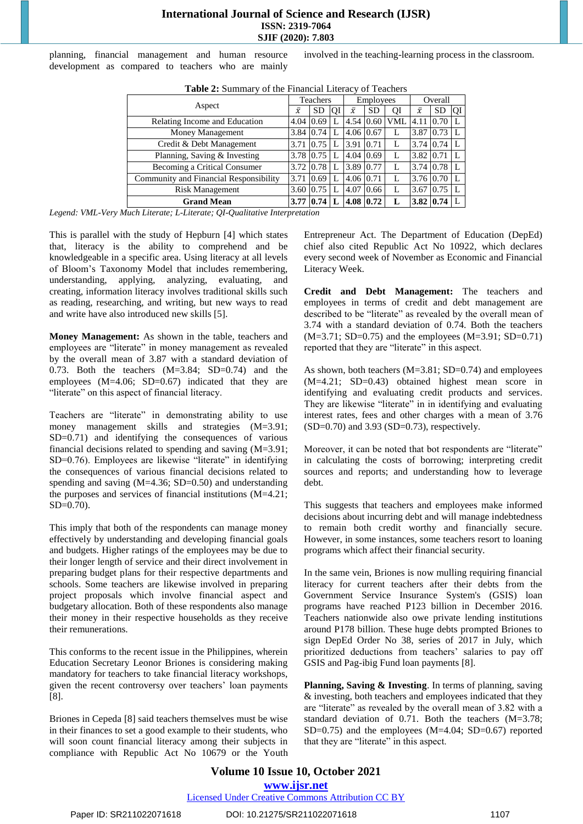planning, financial management and human resource development as compared to teachers who are mainly involved in the teaching-learning process in the classroom.

| <b>Table 2.</b> Building y of the Financial Energy of Teachers |  |              |              |                  |           |            |           |               |    |
|----------------------------------------------------------------|--|--------------|--------------|------------------|-----------|------------|-----------|---------------|----|
| Aspect                                                         |  | Teachers     |              | <b>Employees</b> |           | Overall    |           |               |    |
|                                                                |  | <b>SD</b>    | <b>IQI</b>   | $\bar{x}$        | <b>SD</b> | QI         | $\bar{x}$ | SD.           | ΟI |
| Relating Income and Education                                  |  | 0.69<br>4.04 | L            | $4.54 \, 10.60$  |           | <b>VML</b> | 4.11      | 0.70          |    |
| Money Management                                               |  | 3.84 0.74 L  |              | 4.06 0.67        |           |            | 3.87 0.73 |               |    |
| Credit & Debt Management                                       |  | 3.71 0.75    | L            | 3.91             | 0.71      |            |           | 3.74 0.74     |    |
| Planning, Saving & Investing                                   |  | 3.78 0.75    | L            | 4.04 0.69        |           |            | 3.82 0.71 |               |    |
| Becoming a Critical Consumer                                   |  | 3.72 0.78    | L            | 3.89 0.77        |           |            |           | 3.74 0.78     |    |
| Community and Financial Responsibility                         |  | 0.69         | L            | 4.06 0.71        |           | L          |           | 3.76 0.70     |    |
| <b>Risk Management</b>                                         |  | 3.60<br>0.75 |              | 4.07             | 0.66      |            | 3.67      | 0.75          |    |
| <b>Grand Mean</b>                                              |  | 0.74         | $\mathbf{L}$ | 4.08 0.72        |           |            |           | $3.82\,10.74$ |    |

**Table 2:** Summary of the Financial Literacy of Teachers

*Legend: VML-Very Much Literate; L-Literate; QI-Qualitative Interpretation*

This is parallel with the study of Hepburn [4] which states that, literacy is the ability to comprehend and be knowledgeable in a specific area. Using literacy at all levels of Bloom's Taxonomy Model that includes remembering, understanding, applying, analyzing, evaluating, and creating, information literacy involves traditional skills such as reading, researching, and writing, but new ways to read and write have also introduced new skills [5].

**Money Management:** As shown in the table, teachers and employees are "literate" in money management as revealed by the overall mean of 3.87 with a standard deviation of 0.73. Both the teachers  $(M=3.84; SD=0.74)$  and the employees (M=4.06; SD=0.67) indicated that they are "literate" on this aspect of financial literacy.

Teachers are "literate" in demonstrating ability to use money management skills and strategies  $(M=3.91)$ ; SD=0.71) and identifying the consequences of various financial decisions related to spending and saving (M=3.91; SD=0.76). Employees are likewise "literate" in identifying the consequences of various financial decisions related to spending and saving (M=4.36; SD=0.50) and understanding the purposes and services of financial institutions (M=4.21; SD=0.70).

This imply that both of the respondents can manage money effectively by understanding and developing financial goals and budgets. Higher ratings of the employees may be due to their longer length of service and their direct involvement in preparing budget plans for their respective departments and schools. Some teachers are likewise involved in preparing project proposals which involve financial aspect and budgetary allocation. Both of these respondents also manage their money in their respective households as they receive their remunerations.

This conforms to the recent issue in the Philippines, wherein Education Secretary Leonor Briones is considering making mandatory for teachers to take financial literacy workshops, given the recent controversy over teachers' loan payments [8].

Briones in Cepeda [8] said teachers themselves must be wise in their finances to set a good example to their students, who will soon count financial literacy among their subjects in compliance with Republic Act No 10679 or the Youth Entrepreneur Act. The Department of Education (DepEd) chief also cited Republic Act No 10922, which declares every second week of November as Economic and Financial Literacy Week.

**Credit and Debt Management:** The teachers and employees in terms of credit and debt management are described to be "literate" as revealed by the overall mean of 3.74 with a standard deviation of 0.74. Both the teachers (M=3.71; SD=0.75) and the employees (M=3.91; SD=0.71) reported that they are "literate" in this aspect.

As shown, both teachers (M=3.81; SD=0.74) and employees (M=4.21; SD=0.43) obtained highest mean score in identifying and evaluating credit products and services. They are likewise "literate" in in identifying and evaluating interest rates, fees and other charges with a mean of 3.76 (SD=0.70) and 3.93 (SD=0.73), respectively.

Moreover, it can be noted that bot respondents are "literate" in calculating the costs of borrowing; interpreting credit sources and reports; and understanding how to leverage debt.

This suggests that teachers and employees make informed decisions about incurring debt and will manage indebtedness to remain both credit worthy and financially secure. However, in some instances, some teachers resort to loaning programs which affect their financial security.

In the same vein, Briones is now mulling requiring financial literacy for current teachers after their debts from the Government Service Insurance System's (GSIS) loan programs have reached P123 billion in December 2016. Teachers nationwide also owe private lending institutions around P178 billion. These huge debts prompted Briones to sign DepEd Order No 38, series of 2017 in July, which prioritized deductions from teachers' salaries to pay off GSIS and Pag-ibig Fund loan payments [8].

**Planning, Saving & Investing**. In terms of planning, saving & investing, both teachers and employees indicated that they are "literate" as revealed by the overall mean of 3.82 with a standard deviation of 0.71. Both the teachers (M=3.78; SD=0.75) and the employees (M=4.04; SD=0.67) reported that they are "literate" in this aspect.

**Volume 10 Issue 10, October 2021 <www.ijsr.net>** [Licensed Under Creative Commons Attribution CC BY](http://creativecommons.org/licenses/by/4.0/)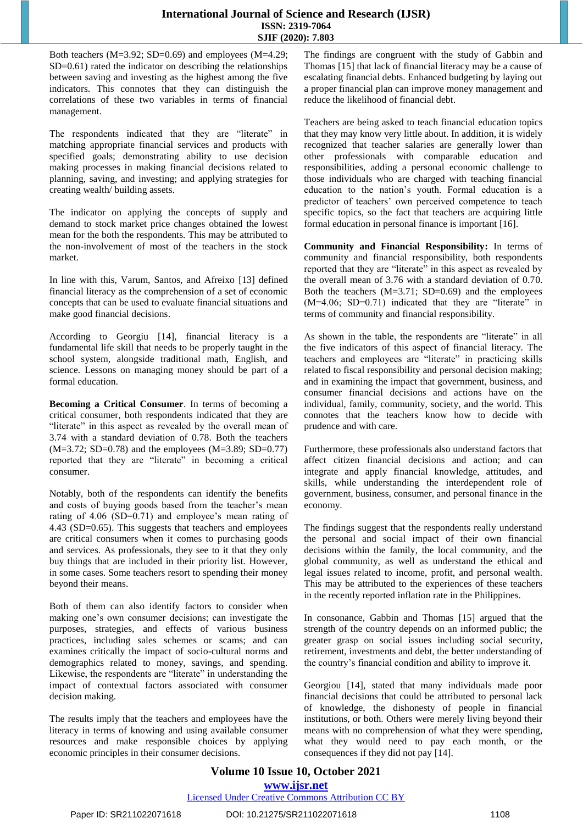Both teachers  $(M=3.92; SD=0.69)$  and employees  $(M=4.29;$ SD=0.61) rated the indicator on describing the relationships between saving and investing as the highest among the five indicators. This connotes that they can distinguish the correlations of these two variables in terms of financial management.

The respondents indicated that they are "literate" in matching appropriate financial services and products with specified goals; demonstrating ability to use decision making processes in making financial decisions related to planning, saving, and investing; and applying strategies for creating wealth/ building assets.

The indicator on applying the concepts of supply and demand to stock market price changes obtained the lowest mean for the both the respondents. This may be attributed to the non-involvement of most of the teachers in the stock market.

In line with this, Varum, Santos, and Afreixo [13] defined financial literacy as the comprehension of a set of economic concepts that can be used to evaluate financial situations and make good financial decisions.

According to Georgiu [14], financial literacy is a fundamental life skill that needs to be properly taught in the school system, alongside traditional math, English, and science. Lessons on managing money should be part of a formal education.

**Becoming a Critical Consumer**. In terms of becoming a critical consumer, both respondents indicated that they are "literate" in this aspect as revealed by the overall mean of 3.74 with a standard deviation of 0.78. Both the teachers (M=3.72; SD=0.78) and the employees (M=3.89; SD=0.77) reported that they are "literate" in becoming a critical consumer.

Notably, both of the respondents can identify the benefits and costs of buying goods based from the teacher's mean rating of 4.06 (SD=0.71) and employee's mean rating of 4.43 (SD=0.65). This suggests that teachers and employees are critical consumers when it comes to purchasing goods and services. As professionals, they see to it that they only buy things that are included in their priority list. However, in some cases. Some teachers resort to spending their money beyond their means.

Both of them can also identify factors to consider when making one's own consumer decisions; can investigate the purposes, strategies, and effects of various business practices, including sales schemes or scams; and can examines critically the impact of socio-cultural norms and demographics related to money, savings, and spending. Likewise, the respondents are "literate" in understanding the impact of contextual factors associated with consumer decision making.

The results imply that the teachers and employees have the literacy in terms of knowing and using available consumer resources and make responsible choices by applying economic principles in their consumer decisions.

The findings are congruent with the study of Gabbin and Thomas [15] that lack of financial literacy may be a cause of escalating financial debts. Enhanced budgeting by laying out a proper financial plan can improve money management and reduce the likelihood of financial debt.

Teachers are being asked to teach financial education topics that they may know very little about. In addition, it is widely recognized that teacher salaries are generally lower than other professionals with comparable education and responsibilities, adding a personal economic challenge to those individuals who are charged with teaching financial education to the nation's youth. Formal education is a predictor of teachers' own perceived competence to teach specific topics, so the fact that teachers are acquiring little formal education in personal finance is important [16].

**Community and Financial Responsibility:** In terms of community and financial responsibility, both respondents reported that they are "literate" in this aspect as revealed by the overall mean of 3.76 with a standard deviation of 0.70. Both the teachers  $(M=3.71; SD=0.69)$  and the employees (M=4.06; SD=0.71) indicated that they are "literate" in terms of community and financial responsibility.

As shown in the table, the respondents are "literate" in all the five indicators of this aspect of financial literacy. The teachers and employees are "literate" in practicing skills related to fiscal responsibility and personal decision making; and in examining the impact that government, business, and consumer financial decisions and actions have on the individual, family, community, society, and the world. This connotes that the teachers know how to decide with prudence and with care.

Furthermore, these professionals also understand factors that affect citizen financial decisions and action; and can integrate and apply financial knowledge, attitudes, and skills, while understanding the interdependent role of government, business, consumer, and personal finance in the economy.

The findings suggest that the respondents really understand the personal and social impact of their own financial decisions within the family, the local community, and the global community, as well as understand the ethical and legal issues related to income, profit, and personal wealth. This may be attributed to the experiences of these teachers in the recently reported inflation rate in the Philippines.

In consonance, Gabbin and Thomas [15] argued that the strength of the country depends on an informed public; the greater grasp on social issues including social security, retirement, investments and debt, the better understanding of the country's financial condition and ability to improve it.

Georgiou [14], stated that many individuals made poor financial decisions that could be attributed to personal lack of knowledge, the dishonesty of people in financial institutions, or both. Others were merely living beyond their means with no comprehension of what they were spending, what they would need to pay each month, or the consequences if they did not pay [14].

# **Volume 10 Issue 10, October 2021 <www.ijsr.net>**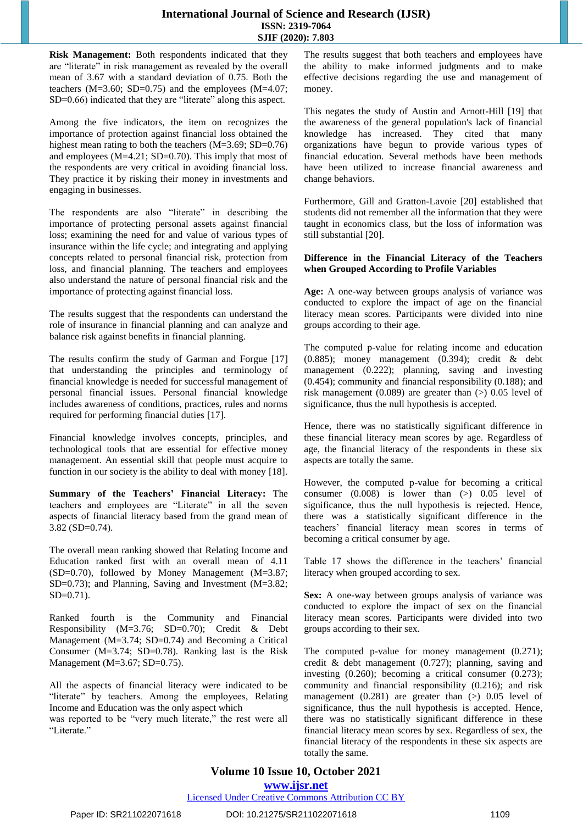**Risk Management:** Both respondents indicated that they are "literate" in risk management as revealed by the overall mean of 3.67 with a standard deviation of 0.75. Both the teachers (M=3.60; SD=0.75) and the employees (M=4.07; SD=0.66) indicated that they are "literate" along this aspect.

Among the five indicators, the item on recognizes the importance of protection against financial loss obtained the highest mean rating to both the teachers (M=3.69; SD=0.76) and employees (M=4.21; SD=0.70). This imply that most of the respondents are very critical in avoiding financial loss. They practice it by risking their money in investments and engaging in businesses.

The respondents are also "literate" in describing the importance of protecting personal assets against financial loss; examining the need for and value of various types of insurance within the life cycle; and integrating and applying concepts related to personal financial risk, protection from loss, and financial planning. The teachers and employees also understand the nature of personal financial risk and the importance of protecting against financial loss.

The results suggest that the respondents can understand the role of insurance in financial planning and can analyze and balance risk against benefits in financial planning.

The results confirm the study of Garman and Forgue [17] that understanding the principles and terminology of financial knowledge is needed for successful management of personal financial issues. Personal financial knowledge includes awareness of conditions, practices, rules and norms required for performing financial duties [17].

Financial knowledge involves concepts, principles, and technological tools that are essential for effective money management. An essential skill that people must acquire to function in our society is the ability to deal with money [18].

**Summary of the Teachers' Financial Literacy:** The teachers and employees are "Literate" in all the seven aspects of financial literacy based from the grand mean of 3.82 (SD=0.74).

The overall mean ranking showed that Relating Income and Education ranked first with an overall mean of 4.11  $(SD=0.70)$ , followed by Money Management  $(M=3.87;$ SD=0.73); and Planning, Saving and Investment (M=3.82; SD=0.71).

Ranked fourth is the Community and Financial Responsibility (M=3.76; SD=0.70); Credit & Debt Management (M=3.74; SD=0.74) and Becoming a Critical Consumer (M=3.74; SD=0.78). Ranking last is the Risk Management (M=3.67; SD=0.75).

All the aspects of financial literacy were indicated to be "literate" by teachers. Among the employees, Relating Income and Education was the only aspect which

was reported to be "very much literate," the rest were all "Literate."

The results suggest that both teachers and employees have the ability to make informed judgments and to make effective decisions regarding the use and management of money.

This negates the study of Austin and Arnott-Hill [19] that the awareness of the general population's lack of financial knowledge has increased. They cited that many organizations have begun to provide various types of financial education. Several methods have been methods have been utilized to increase financial awareness and change behaviors.

Furthermore, Gill and Gratton-Lavoie [20] established that students did not remember all the information that they were taught in economics class, but the loss of information was still substantial [20].

#### **Difference in the Financial Literacy of the Teachers when Grouped According to Profile Variables**

**Age:** A one-way between groups analysis of variance was conducted to explore the impact of age on the financial literacy mean scores. Participants were divided into nine groups according to their age.

The computed p-value for relating income and education (0.885); money management (0.394); credit & debt management (0.222); planning, saving and investing (0.454); community and financial responsibility (0.188); and risk management  $(0.089)$  are greater than  $(>)$  0.05 level of significance, thus the null hypothesis is accepted.

Hence, there was no statistically significant difference in these financial literacy mean scores by age. Regardless of age, the financial literacy of the respondents in these six aspects are totally the same.

However, the computed p-value for becoming a critical consumer  $(0.008)$  is lower than  $(>)$  0.05 level of significance, thus the null hypothesis is rejected. Hence, there was a statistically significant difference in the teachers' financial literacy mean scores in terms of becoming a critical consumer by age.

Table 17 shows the difference in the teachers' financial literacy when grouped according to sex.

**Sex:** A one-way between groups analysis of variance was conducted to explore the impact of sex on the financial literacy mean scores. Participants were divided into two groups according to their sex.

The computed p-value for money management  $(0.271)$ ; credit & debt management (0.727); planning, saving and investing (0.260); becoming a critical consumer (0.273); community and financial responsibility (0.216); and risk management  $(0.281)$  are greater than  $(>)$  0.05 level of significance, thus the null hypothesis is accepted. Hence, there was no statistically significant difference in these financial literacy mean scores by sex. Regardless of sex, the financial literacy of the respondents in these six aspects are totally the same.

# **Volume 10 Issue 10, October 2021**

**<www.ijsr.net>**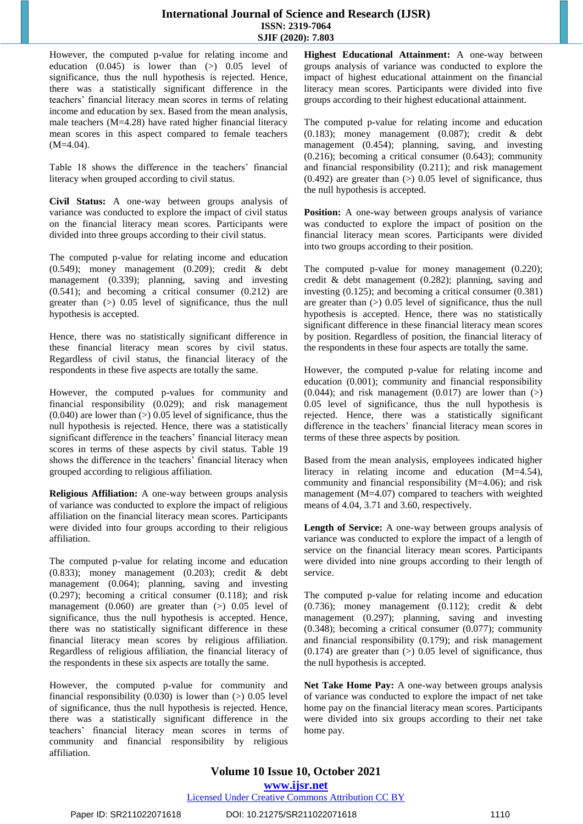However, the computed p-value for relating income and education  $(0.045)$  is lower than  $(>)$  0.05 level of significance, thus the null hypothesis is rejected. Hence, there was a statistically significant difference in the teachers' financial literacy mean scores in terms of relating income and education by sex. Based from the mean analysis, male teachers (M=4.28) have rated higher financial literacy mean scores in this aspect compared to female teachers (M=4.04).

Table 18 shows the difference in the teachers' financial literacy when grouped according to civil status.

**Civil Status:** A one-way between groups analysis of variance was conducted to explore the impact of civil status on the financial literacy mean scores. Participants were divided into three groups according to their civil status.

The computed p-value for relating income and education (0.549); money management (0.209); credit & debt management (0.339); planning, saving and investing (0.541); and becoming a critical consumer (0.212) are greater than (>) 0.05 level of significance, thus the null hypothesis is accepted.

Hence, there was no statistically significant difference in these financial literacy mean scores by civil status. Regardless of civil status, the financial literacy of the respondents in these five aspects are totally the same.

However, the computed p-values for community and financial responsibility (0.029); and risk management  $(0.040)$  are lower than  $(>)$  0.05 level of significance, thus the null hypothesis is rejected. Hence, there was a statistically significant difference in the teachers' financial literacy mean scores in terms of these aspects by civil status. Table 19 shows the difference in the teachers' financial literacy when grouped according to religious affiliation.

**Religious Affiliation:** A one-way between groups analysis of variance was conducted to explore the impact of religious affiliation on the financial literacy mean scores. Participants were divided into four groups according to their religious affiliation.

The computed p-value for relating income and education (0.833); money management (0.203); credit & debt management (0.064); planning, saving and investing (0.297); becoming a critical consumer (0.118); and risk management  $(0.060)$  are greater than  $(>)$  0.05 level of significance, thus the null hypothesis is accepted. Hence, there was no statistically significant difference in these financial literacy mean scores by religious affiliation. Regardless of religious affiliation, the financial literacy of the respondents in these six aspects are totally the same.

However, the computed p-value for community and financial responsibility  $(0.030)$  is lower than  $(>)$  0.05 level of significance, thus the null hypothesis is rejected. Hence, there was a statistically significant difference in the teachers' financial literacy mean scores in terms of community and financial responsibility by religious affiliation.

**Highest Educational Attainment:** A one-way between groups analysis of variance was conducted to explore the impact of highest educational attainment on the financial literacy mean scores. Participants were divided into five groups according to their highest educational attainment.

The computed p-value for relating income and education (0.183); money management (0.087); credit & debt management (0.454); planning, saving, and investing (0.216); becoming a critical consumer (0.643); community and financial responsibility (0.211); and risk management  $(0.492)$  are greater than  $(>)$  0.05 level of significance, thus the null hypothesis is accepted.

**Position:** A one-way between groups analysis of variance was conducted to explore the impact of position on the financial literacy mean scores. Participants were divided into two groups according to their position.

The computed p-value for money management (0.220); credit & debt management (0.282); planning, saving and investing (0.125); and becoming a critical consumer (0.381) are greater than (>) 0.05 level of significance, thus the null hypothesis is accepted. Hence, there was no statistically significant difference in these financial literacy mean scores by position. Regardless of position, the financial literacy of the respondents in these four aspects are totally the same.

However, the computed p-value for relating income and education (0.001); community and financial responsibility  $(0.044)$ ; and risk management  $(0.017)$  are lower than  $(>)$ 0.05 level of significance, thus the null hypothesis is rejected. Hence, there was a statistically significant difference in the teachers' financial literacy mean scores in terms of these three aspects by position.

Based from the mean analysis, employees indicated higher literacy in relating income and education (M=4.54), community and financial responsibility (M=4.06); and risk management (M=4.07) compared to teachers with weighted means of 4.04, 3.71 and 3.60, respectively.

**Length of Service:** A one-way between groups analysis of variance was conducted to explore the impact of a length of service on the financial literacy mean scores. Participants were divided into nine groups according to their length of service.

The computed p-value for relating income and education (0.736); money management (0.112); credit & debt management (0.297); planning, saving and investing (0.348); becoming a critical consumer (0.077); community and financial responsibility (0.179); and risk management  $(0.174)$  are greater than  $(>)$  0.05 level of significance, thus the null hypothesis is accepted.

Net Take Home Pay: A one-way between groups analysis of variance was conducted to explore the impact of net take home pay on the financial literacy mean scores. Participants were divided into six groups according to their net take home pay.

# **Volume 10 Issue 10, October 2021**

**<www.ijsr.net>**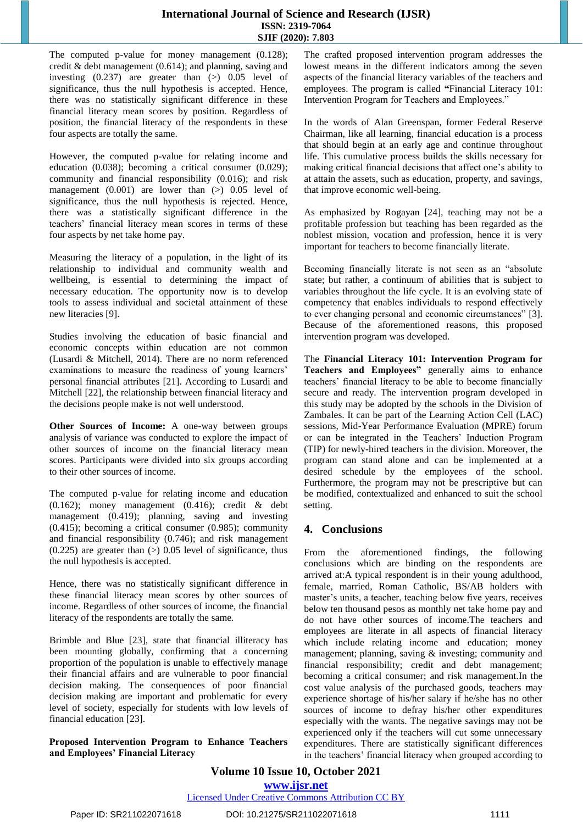The computed p-value for money management  $(0.128)$ ; credit & debt management (0.614); and planning, saving and investing  $(0.237)$  are greater than  $(>)$  0.05 level of significance, thus the null hypothesis is accepted. Hence, there was no statistically significant difference in these financial literacy mean scores by position. Regardless of position, the financial literacy of the respondents in these four aspects are totally the same.

However, the computed p-value for relating income and education (0.038); becoming a critical consumer (0.029); community and financial responsibility (0.016); and risk management  $(0.001)$  are lower than  $(>)$  0.05 level of significance, thus the null hypothesis is rejected. Hence, there was a statistically significant difference in the teachers' financial literacy mean scores in terms of these four aspects by net take home pay.

Measuring the literacy of a population, in the light of its relationship to individual and community wealth and wellbeing, is essential to determining the impact of necessary education. The opportunity now is to develop tools to assess individual and societal attainment of these new literacies [9].

Studies involving the education of basic financial and economic concepts within education are not common (Lusardi & Mitchell, 2014). There are no norm referenced examinations to measure the readiness of young learners' personal financial attributes [21]. According to Lusardi and Mitchell [22], the relationship between financial literacy and the decisions people make is not well understood.

**Other Sources of Income:** A one-way between groups analysis of variance was conducted to explore the impact of other sources of income on the financial literacy mean scores. Participants were divided into six groups according to their other sources of income.

The computed p-value for relating income and education (0.162); money management (0.416); credit & debt management (0.419); planning, saving and investing (0.415); becoming a critical consumer (0.985); community and financial responsibility (0.746); and risk management  $(0.225)$  are greater than  $(>)$  0.05 level of significance, thus the null hypothesis is accepted.

Hence, there was no statistically significant difference in these financial literacy mean scores by other sources of income. Regardless of other sources of income, the financial literacy of the respondents are totally the same.

Brimble and Blue [23], state that financial illiteracy has been mounting globally, confirming that a concerning proportion of the population is unable to effectively manage their financial affairs and are vulnerable to poor financial decision making. The consequences of poor financial decision making are important and problematic for every level of society, especially for students with low levels of financial education [23].

**Proposed Intervention Program to Enhance Teachers and Employees' Financial Literacy** 

The crafted proposed intervention program addresses the lowest means in the different indicators among the seven aspects of the financial literacy variables of the teachers and employees. The program is called **"**Financial Literacy 101: Intervention Program for Teachers and Employees."

In the words of Alan Greenspan, former Federal Reserve Chairman, like all learning, financial education is a process that should begin at an early age and continue throughout life. This cumulative process builds the skills necessary for making critical financial decisions that affect one's ability to at attain the assets, such as education, property, and savings, that improve economic well-being.

As emphasized by Rogayan [24], teaching may not be a profitable profession but teaching has been regarded as the noblest mission, vocation and profession, hence it is very important for teachers to become financially literate.

Becoming financially literate is not seen as an "absolute state; but rather, a continuum of abilities that is subject to variables throughout the life cycle. It is an evolving state of competency that enables individuals to respond effectively to ever changing personal and economic circumstances" [3]. Because of the aforementioned reasons, this proposed intervention program was developed.

The **Financial Literacy 101: Intervention Program for Teachers and Employees"** generally aims to enhance teachers' financial literacy to be able to become financially secure and ready. The intervention program developed in this study may be adopted by the schools in the Division of Zambales. It can be part of the Learning Action Cell (LAC) sessions, Mid-Year Performance Evaluation (MPRE) forum or can be integrated in the Teachers' Induction Program (TIP) for newly-hired teachers in the division. Moreover, the program can stand alone and can be implemented at a desired schedule by the employees of the school. Furthermore, the program may not be prescriptive but can be modified, contextualized and enhanced to suit the school setting.

# **4. Conclusions**

From the aforementioned findings, the following conclusions which are binding on the respondents are arrived at:A typical respondent is in their young adulthood, female, married, Roman Catholic, BS/AB holders with master's units, a teacher, teaching below five years, receives below ten thousand pesos as monthly net take home pay and do not have other sources of income.The teachers and employees are literate in all aspects of financial literacy which include relating income and education; money management; planning, saving & investing; community and financial responsibility; credit and debt management; becoming a critical consumer; and risk management.In the cost value analysis of the purchased goods, teachers may experience shortage of his/her salary if he/she has no other sources of income to defray his/her other expenditures especially with the wants. The negative savings may not be experienced only if the teachers will cut some unnecessary expenditures. There are statistically significant differences in the teachers' financial literacy when grouped according to

**Volume 10 Issue 10, October 2021 <www.ijsr.net>**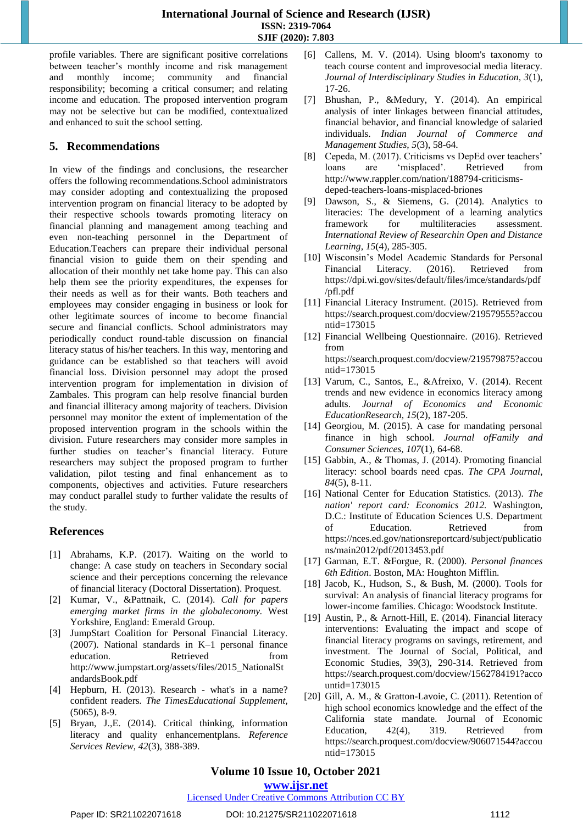profile variables. There are significant positive correlations between teacher's monthly income and risk management and monthly income; community and financial responsibility; becoming a critical consumer; and relating income and education. The proposed intervention program may not be selective but can be modified, contextualized and enhanced to suit the school setting.

### **5. Recommendations**

In view of the findings and conclusions, the researcher offers the following recommendations.School administrators may consider adopting and contextualizing the proposed intervention program on financial literacy to be adopted by their respective schools towards promoting literacy on financial planning and management among teaching and even non-teaching personnel in the Department of Education.Teachers can prepare their individual personal financial vision to guide them on their spending and allocation of their monthly net take home pay. This can also help them see the priority expenditures, the expenses for their needs as well as for their wants. Both teachers and employees may consider engaging in business or look for other legitimate sources of income to become financial secure and financial conflicts. School administrators may periodically conduct round-table discussion on financial literacy status of his/her teachers. In this way, mentoring and guidance can be established so that teachers will avoid financial loss. Division personnel may adopt the prosed intervention program for implementation in division of Zambales. This program can help resolve financial burden and financial illiteracy among majority of teachers. Division personnel may monitor the extent of implementation of the proposed intervention program in the schools within the division. Future researchers may consider more samples in further studies on teacher's financial literacy. Future researchers may subject the proposed program to further validation, pilot testing and final enhancement as to components, objectives and activities. Future researchers may conduct parallel study to further validate the results of the study.

# **References**

- [1] Abrahams, K.P. (2017). Waiting on the world to change: A case study on teachers in Secondary social science and their perceptions concerning the relevance of financial literacy (Doctoral Dissertation). Proquest.
- [2] Kumar, V., &Pattnaik, C. (2014). *Call for papers emerging market firms in the globaleconomy.* West Yorkshire, England: Emerald Group.
- [3] JumpStart Coalition for Personal Financial Literacy. (2007). National standards in K–1 personal finance education. Retrieved from [http://www.jumpstart.org/assets/files/2015\\_NationalSt](http://www.jumpstart.org/assets/files/2015_NationalStandardsBook.pdf) [andardsBook.pdf](http://www.jumpstart.org/assets/files/2015_NationalStandardsBook.pdf)
- [4] Hepburn, H. (2013). Research what's in a name? confident readers*. The TimesEducational Supplement,*  (5065), 8-9.
- [5] Bryan, J.,E. (2014). Critical thinking, information literacy and quality enhancementplans. *Reference Services Review, 42*(3), 388-389.
- [6] Callens, M. V. (2014). Using bloom's taxonomy to teach course content and improvesocial media literacy. *Journal of Interdisciplinary Studies in Education, 3*(1), 17-26.
- [7] Bhushan, P., &Medury, Y. (2014). An empirical analysis of inter linkages between financial attitudes, financial behavior, and financial knowledge of salaried individuals. *Indian Journal of Commerce and Management Studies, 5*(3), 58-64.
- [8] Cepeda, M. (2017). Criticisms vs DepEd over teachers' loans are 'misplaced'. Retrieved from http://www.rappler.com/nation/188794-criticismsdeped-teachers-loans-misplaced-briones
- [9] Dawson, S., & Siemens, G. (2014). Analytics to literacies: The development of a learning analytics framework for multiliteracies assessment. *International Review of Researchin Open and Distance Learning, 15*(4)*,* 285-305.
- [10] Wisconsin's Model Academic Standards for Personal Financial Literacy. (2016). Retrieved from [https://dpi.wi.gov/sites/default/files/imce/standards/pdf](https://dpi.wi.gov/sites/default/files/imce/standards/pdf/pfl.pdf) [/pfl.pdf](https://dpi.wi.gov/sites/default/files/imce/standards/pdf/pfl.pdf)
- [11] Financial Literacy Instrument. (2015). Retrieved from [https://search.proquest.com/docview/219579555?accou](https://search.proquest.com/docview/219579555?accountid=173015) [ntid=173015](https://search.proquest.com/docview/219579555?accountid=173015)
- [12] Financial Wellbeing Questionnaire. (2016). Retrieved from [https://search.proquest.com/docview/219579875?accou](https://search.proquest.com/docview/219579875?accountid=173015) [ntid=173015](https://search.proquest.com/docview/219579875?accountid=173015)
- [13] Varum, C., Santos, E., &Afreixo, V. (2014). Recent trends and new evidence in economics literacy among adults. *Journal of Economics and Economic EducationResearch, 15*(2), 187-205.
- [14] Georgiou, M. (2015). A case for mandating personal finance in high school. *Journal ofFamily and Consumer Sciences, 107*(1), 64-68.
- [15] Gabbin, A., & Thomas, J. (2014). Promoting financial literacy: school boards need cpas. *The CPA Journal, 84*(5), 8-11.
- [16] National Center for Education Statistics. (2013). *The nation' report card: Economics 2012.* Washington, D.C.: Institute of Education Sciences U.S. Department of Education. Retrieved from https://nces.ed.gov/nationsreportcard/subject/publicatio ns/main2012/pdf/2013453.pdf
- [17] Garman, E.T. &Forgue, R. (2000). *Personal finances 6th Edition*. Boston, MA: Houghton Mifflin.
- [18] Jacob, K., Hudson, S., & Bush, M. (2000). Tools for survival: An analysis of financial literacy programs for lower-income families. Chicago: Woodstock Institute.
- [19] Austin, P., & Arnott-Hill, E. (2014). Financial literacy interventions: Evaluating the impact and scope of financial literacy programs on savings, retirement, and investment. The Journal of Social, Political, and Economic Studies, 39(3), 290-314. Retrieved from https://search.proquest.com/docview/1562784191?acco untid=173015
- [20] Gill, A. M., & Gratton-Lavoie, C. (2011). Retention of high school economics knowledge and the effect of the California state mandate. Journal of Economic Education, 42(4), 319. Retrieved from https://search.proquest.com/docview/906071544?accou ntid=173015

# **Volume 10 Issue 10, October 2021**

### **<www.ijsr.net>**